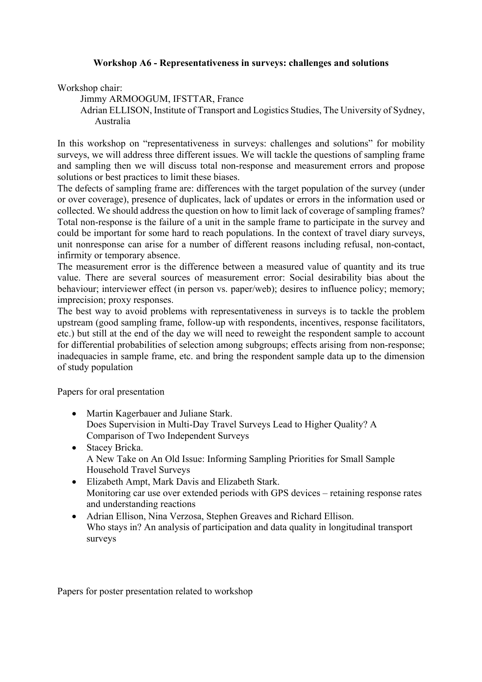## **Workshop A6 - Representativeness in surveys: challenges and solutions**

Workshop chair:

Jimmy ARMOOGUM, IFSTTAR, France

Adrian ELLISON, Institute of Transport and Logistics Studies, The University of Sydney, Australia

In this workshop on "representativeness in surveys: challenges and solutions" for mobility surveys, we will address three different issues. We will tackle the questions of sampling frame and sampling then we will discuss total non-response and measurement errors and propose solutions or best practices to limit these biases.

The defects of sampling frame are: differences with the target population of the survey (under or over coverage), presence of duplicates, lack of updates or errors in the information used or collected. We should address the question on how to limit lack of coverage of sampling frames? Total non-response is the failure of a unit in the sample frame to participate in the survey and could be important for some hard to reach populations. In the context of travel diary surveys, unit nonresponse can arise for a number of different reasons including refusal, non-contact, infirmity or temporary absence.

The measurement error is the difference between a measured value of quantity and its true value. There are several sources of measurement error: Social desirability bias about the behaviour; interviewer effect (in person vs. paper/web); desires to influence policy; memory; imprecision; proxy responses.

The best way to avoid problems with representativeness in surveys is to tackle the problem upstream (good sampling frame, follow-up with respondents, incentives, response facilitators, etc.) but still at the end of the day we will need to reweight the respondent sample to account for differential probabilities of selection among subgroups; effects arising from non-response; inadequacies in sample frame, etc. and bring the respondent sample data up to the dimension of study population

Papers for oral presentation

- Martin Kagerbauer and Juliane Stark. Does Supervision in Multi-Day Travel Surveys Lead to Higher Quality? A Comparison of Two Independent Surveys
- Stacey Bricka. A New Take on An Old Issue: Informing Sampling Priorities for Small Sample Household Travel Surveys
- Elizabeth Ampt, Mark Davis and Elizabeth Stark. Monitoring car use over extended periods with GPS devices – retaining response rates and understanding reactions
- Adrian Ellison, Nina Verzosa, Stephen Greaves and Richard Ellison. Who stays in? An analysis of participation and data quality in longitudinal transport surveys

Papers for poster presentation related to workshop